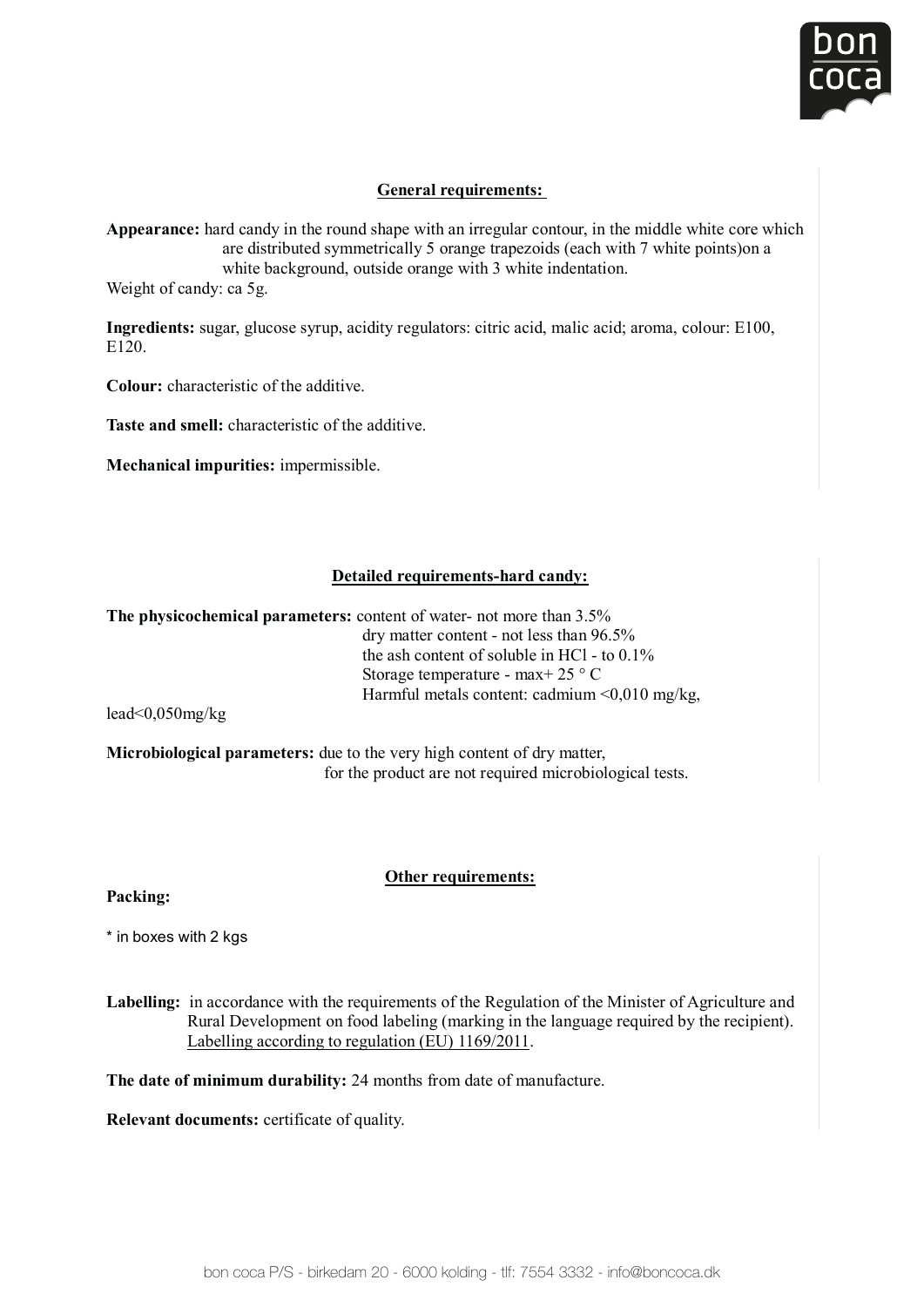

# **General requirements:**

Appearance: hard candy in the round shape with an irregular contour, in the middle white core which are distributed symmetrically 5 orange trapezoids (each with 7 white points)on a white background, outside orange with 3 white indentation. Weight of candy: ca 5g.

 $\alpha$  or  $\beta$ .

Ingredients: sugar, glucose syrup, acidity regulators: citric acid, malic acid; aroma, colour: E100, enge can engels anguls, generally **Appearance:** hard candy in the round shape with an irregular contour, in the middle white core which

**Colour:** characteristic of the additive. E120.

**Taste and smell:** characteristic of the additive.  **Colour:** characteristic of the

**Mechanical impurities:** impermissible. Mech

## **The physicochemical parameters:** content of water- not more than 3.5% **Detailed requirements-hard candy:**

 $\mathbf{m}$  as  $\mathbf{r}$  as to  $\mathbf{r}$  as to  $\mathbf{r}$  to  $\mathbf{r}$  to  $\mathbf{r}$  to  $\mathbf{r}$  to  $\mathbf{r}$  to  $\mathbf{r}$  as to  $\mathbf{r}$  as to  $\mathbf{r}$  as to  $\mathbf{r}$  as to  $\mathbf{r}$  as to  $\mathbf{r}$  as to  $\mathbf{r}$  as to  $\mathbf{r}$  as to **The physicochemical parameters:** content of water- not more than 3.5% di y matter content:  $\frac{1}{2}$  mot ress than  $90.5\%$ Harmful metals content: cadmium <0,010 mg/kg,  $d = 1/2.25$ % dry matter content - not less than 96.5% the ash content of soluble in HCl - to 0.1% Storage temperature - max+ 25 ° C

 $\frac{1}{2}$  read  $\frac{1}{2}$  tests.  $\text{lead}\leq 0.050 \text{mg/kg}$ 

**ORTHER FRIGHTER FRIGHTER FRIGHTER THER REGULAR FRIGHTER FRIGHTER THE PRODUCT AT A THE PRODUCT ARE PRODUCT** and the product are not required microbiological tests. **Packing: Microbiological parameters:** due to the very high content of dry matter, Storage temperature - max+ 25 ° C **Microbiological parameters:** due to the very high content of dry matter, lead<0,050mg/kg

#### <u>Labelling:</u> in accordance with the Regulation of the Regulation of the Minister of Agriculture and Agriculture and Minister of The Minister of Agriculture and Minister of Agriculture and Minister of Agriculture and Minist **Other requirements:**

raching,  $n = \frac{1}{2}$ **Packing:** 

 $\star$  in boxes with 2 kgs

Labelling: in accordance with the requirements of the Regulation of the Minister of Agriculture and Rural Development on food labeling (marking in the language required by the recipient). **Relevant documents:** certificate of quality. Labelling according to regulation (EU) 1169/2011.

**The date of minimum durability:** 24 months from date of manufacture.

**Relevant documents:** certificate of quality.